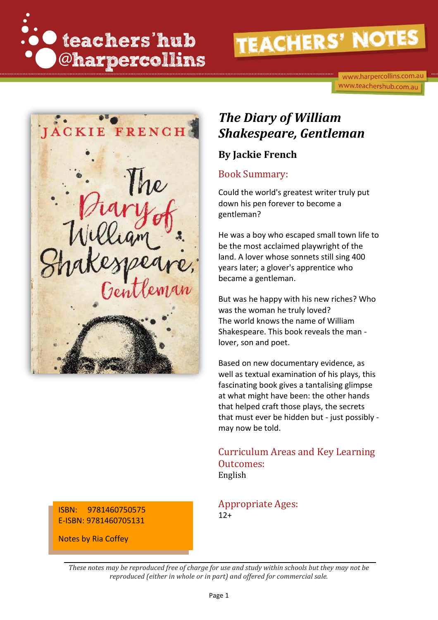

www.harpercollins.com.au www.teachershub.com.au



#### $12+$  ISBN: 9781460750575 E-ISBN: 9781460705131

Notes by Ria Coffey

## *The Diary of William Shakespeare, Gentleman*

## **By Jackie French**

### Book Summary:

Could the world's greatest writer truly put down his pen forever to become a gentleman?

He was a boy who escaped small town life to be the most acclaimed playwright of the land. A lover whose sonnets still sing 400 years later; a glover's apprentice who became a gentleman.

But was he happy with his new riches? Who was the woman he truly loved? The world knows the name of William Shakespeare. This book reveals the man lover, son and poet.

Based on new documentary evidence, as well as textual examination of his plays, this fascinating book gives a tantalising glimpse at what might have been: the other hands that helped craft those plays, the secrets that must ever be hidden but - just possibly may now be told.

#### Curriculum Areas and Key Learning Outcomes: English

Appropriate Ages:

*These notes may be reproduced free of charge for use and study within schools but they may not be reproduced (either in whole or in part) and offered for commercial sale.*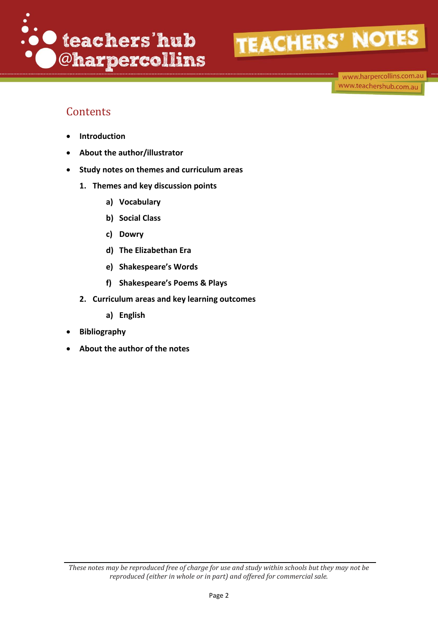

www.harpercollins.com.au www.teachershub.com.au

## **Contents**

- **Introduction**
- **About the author/illustrator**
- **Study notes on themes and curriculum areas**
	- **1. Themes and key discussion points**
		- **a) Vocabulary**
		- **b) Social Class**
		- **c) Dowry**
		- **d) The Elizabethan Era**
		- **e) Shakespeare's Words**
		- **f) Shakespeare's Poems & Plays**
	- **2. Curriculum areas and key learning outcomes**
		- **a) English**
- **Bibliography**
- **About the author of the notes**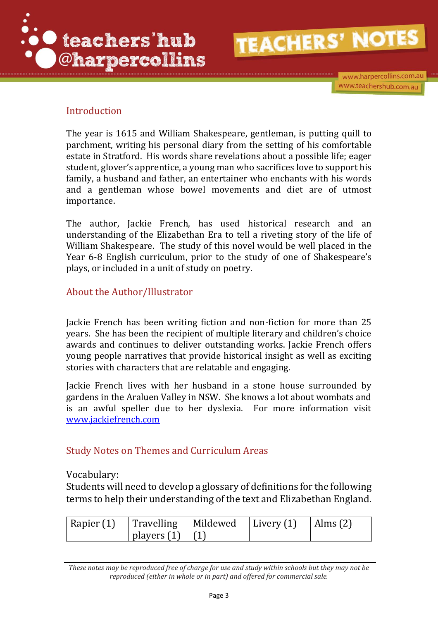

www.harpercollins.com.au www.teachershub.com.au

### Introduction

The year is 1615 and William Shakespeare, gentleman, is putting quill to parchment, writing his personal diary from the setting of his comfortable estate in Stratford. His words share revelations about a possible life; eager student, glover's apprentice, a young man who sacrifices love to support his family, a husband and father, an entertainer who enchants with his words and a gentleman whose bowel movements and diet are of utmost importance.

The author, Jackie French, has used historical research and an understanding of the Elizabethan Era to tell a riveting story of the life of William Shakespeare. The study of this novel would be well placed in the Year 6-8 English curriculum, prior to the study of one of Shakespeare's plays, or included in a unit of study on poetry.

### About the Author/Illustrator

Jackie French has been writing fiction and non-fiction for more than 25 years. She has been the recipient of multiple literary and children's choice awards and continues to deliver outstanding works. Jackie French offers young people narratives that provide historical insight as well as exciting stories with characters that are relatable and engaging.

Jackie French lives with her husband in a stone house surrounded by gardens in the Araluen Valley in NSW. She knows a lot about wombats and is an awful speller due to her dyslexia. For more information visit [www.jackiefrench.com](http://www.jackiefrench.com/)

### Study Notes on Themes and Curriculum Areas

#### Vocabulary:

Students will need to develop a glossary of definitions for the following terms to help their understanding of the text and Elizabethan England.

| Rapier (1) |                     | $\vert$ Travelling $\vert$ Mildewed $\vert$ Livery (1) $\vert$ Alms (2) |  |
|------------|---------------------|-------------------------------------------------------------------------|--|
|            | players $(1)$ $(1)$ |                                                                         |  |

*These notes may be reproduced free of charge for use and study within schools but they may not be reproduced (either in whole or in part) and offered for commercial sale.*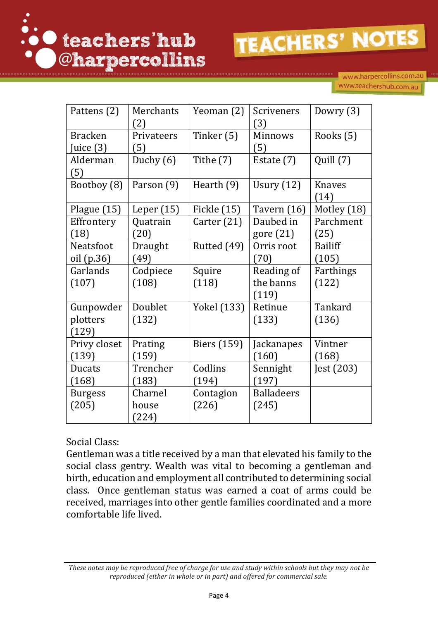

www.harpercollins.com.au www.teachershub.com.au

| Pattens (2)                 | Merchants<br>(2)  | Yeoman (2)   | <b>Scriveners</b><br>(3) | Dowry $(3)$           |
|-----------------------------|-------------------|--------------|--------------------------|-----------------------|
| <b>Bracken</b><br>Juice (3) | Privateers<br>(5) | Tinker (5)   | Minnows<br>(5)           | Rooks (5)             |
| Alderman<br>(5)             | Duchy $(6)$       | Tithe (7)    | Estate (7)               | Quill (7)             |
| Bootboy (8)                 | Parson (9)        | Hearth $(9)$ | Usury $(12)$             | <b>Knaves</b><br>(14) |
| Plague $(15)$               | Leper $(15)$      | Fickle (15)  | Tavern $(16)$            | Motley (18)           |
| Effrontery<br>(18)          | Quatrain<br>(20)  | Carter (21)  | Daubed in<br>gore $(21)$ | Parchment<br>(25)     |
| Neatsfoot                   | Draught           | Rutted (49)  | Orris root               | <b>Bailiff</b>        |
| oil (p.36)                  | (49)              |              | (70)                     | (105)                 |
| Garlands                    | Codpiece          | Squire       | Reading of               | Farthings             |
| (107)                       | (108)             | (118)        | the banns<br>(119)       | (122)                 |
| Gunpowder                   | Doublet           | Yokel (133)  | Retinue                  | Tankard               |
| plotters<br>(129)           | (132)             |              | (133)                    | (136)                 |
| Privy closet<br>(139)       | Prating<br>(159)  | Biers (159)  | Jackanapes<br>(160)      | Vintner<br>(168)      |
| <b>Ducats</b>               | Trencher          | Codlins      | Sennight                 | Jest $(203)$          |
| (168)                       | (183)             | (194)        | (197)                    |                       |
| <b>Burgess</b>              | Charnel           | Contagion    | <b>Balladeers</b>        |                       |
| (205)                       | house<br>(224)    | (226)        | (245)                    |                       |

Social Class:

Gentleman was a title received by a man that elevated his family to the social class gentry. Wealth was vital to becoming a gentleman and birth, education and employment all contributed to determining social class. Once gentleman status was earned a coat of arms could be received, marriages into other gentle families coordinated and a more comfortable life lived.

*These notes may be reproduced free of charge for use and study within schools but they may not be reproduced (either in whole or in part) and offered for commercial sale.*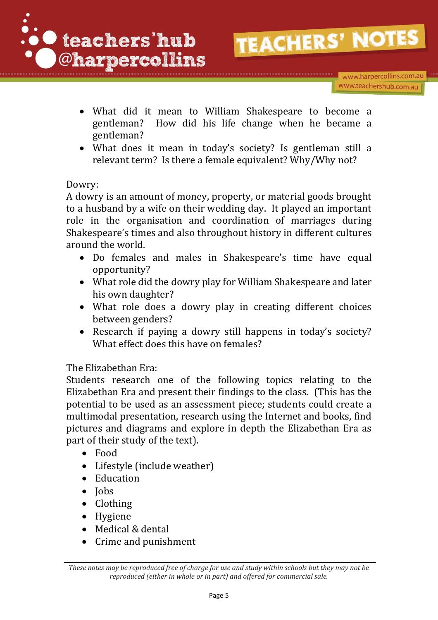

www.harpercollins.com.au www.teachershub.com.au

- What did it mean to William Shakespeare to become a gentleman? How did his life change when he became a gentleman?
- What does it mean in today's society? Is gentleman still a relevant term? Is there a female equivalent? Why/Why not?

### Dowry:

A dowry is an amount of money, property, or material goods brought to a husband by a wife on their wedding day. It played an important role in the organisation and coordination of marriages during Shakespeare's times and also throughout history in different cultures around the world.

- Do females and males in Shakespeare's time have equal opportunity?
- What role did the dowry play for William Shakespeare and later his own daughter?
- What role does a dowry play in creating different choices between genders?
- Research if paying a dowry still happens in today's society? What effect does this have on females?

## The Elizabethan Era:

Students research one of the following topics relating to the Elizabethan Era and present their findings to the class. (This has the potential to be used as an assessment piece; students could create a multimodal presentation, research using the Internet and books, find pictures and diagrams and explore in depth the Elizabethan Era as part of their study of the text).

- Food
- Lifestyle (include weather)
- Education
- $\bullet$  Jobs
- Clothing
- Hygiene
- Medical & dental
- Crime and punishment

*These notes may be reproduced free of charge for use and study within schools but they may not be reproduced (either in whole or in part) and offered for commercial sale.*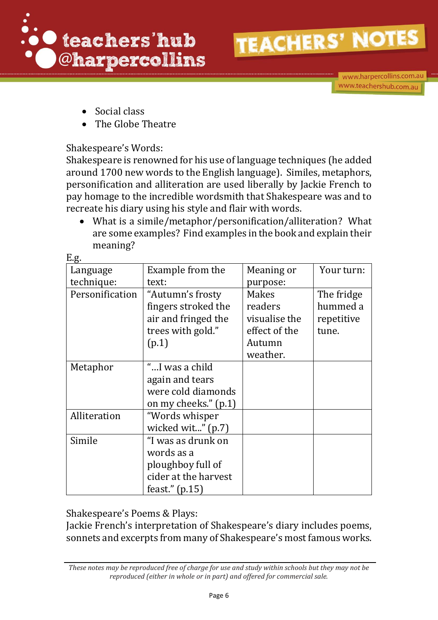

www.harpercollins.com.au www.teachershub.com.au

- Social class
- The Globe Theatre

## Shakespeare's Words:

Shakespeare is renowned for his use of language techniques (he added around 1700 new words to the English language). Similes, metaphors, personification and alliteration are used liberally by Jackie French to pay homage to the incredible wordsmith that Shakespeare was and to recreate his diary using his style and flair with words.

 What is a simile/metaphor/personification/alliteration? What are some examples? Find examples in the book and explain their meaning?  $F \sigma$ 

| יסי״            |                      |               |            |
|-----------------|----------------------|---------------|------------|
| Language        | Example from the     | Meaning or    | Your turn: |
| technique:      | text:                | purpose:      |            |
| Personification | "Autumn's frosty     | <b>Makes</b>  | The fridge |
|                 | fingers stroked the  | readers       | hummed a   |
|                 | air and fringed the  | visualise the | repetitive |
|                 | trees with gold."    | effect of the | tune.      |
|                 | (p.1)                | Autumn        |            |
|                 |                      | weather.      |            |
| Metaphor        | "I was a child       |               |            |
|                 | again and tears      |               |            |
|                 | were cold diamonds   |               |            |
|                 | on my cheeks." (p.1) |               |            |
| Alliteration    | "Words whisper       |               |            |
|                 | wicked wit" (p.7)    |               |            |
| Simile          | "I was as drunk on   |               |            |
|                 | words as a           |               |            |
|                 | ploughboy full of    |               |            |
|                 | cider at the harvest |               |            |
|                 | feast." $(p.15)$     |               |            |

## Shakespeare's Poems & Plays:

Jackie French's interpretation of Shakespeare's diary includes poems, sonnets and excerpts from many of Shakespeare's most famous works.

*These notes may be reproduced free of charge for use and study within schools but they may not be reproduced (either in whole or in part) and offered for commercial sale.*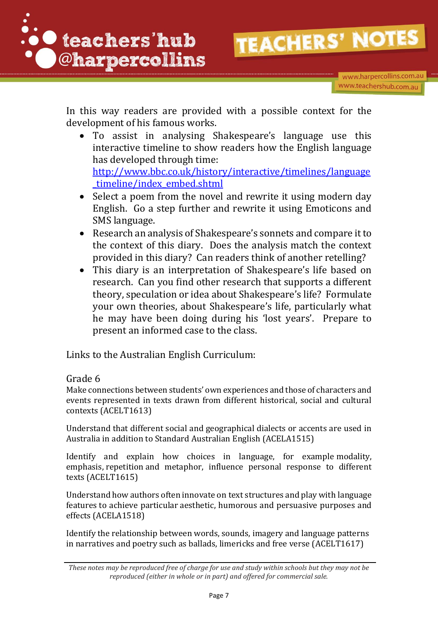

www.harpercollins.com.au www.teachershub.com.au

In this way readers are provided with a possible context for the development of his famous works.

- To assist in analysing Shakespeare's language use this interactive timeline to show readers how the English language has developed through time: [http://www.bbc.co.uk/history/interactive/timelines/language](http://www.bbc.co.uk/history/interactive/timelines/language_timeline/index_embed.shtml) [\\_timeline/index\\_embed.shtml](http://www.bbc.co.uk/history/interactive/timelines/language_timeline/index_embed.shtml)
- Select a poem from the novel and rewrite it using modern day English. Go a step further and rewrite it using Emoticons and SMS language.
- Research an analysis of Shakespeare's sonnets and compare it to the context of this diary. Does the analysis match the context provided in this diary? Can readers think of another retelling?
- This diary is an interpretation of Shakespeare's life based on research. Can you find other research that supports a different theory, speculation or idea about Shakespeare's life? Formulate your own theories, about Shakespeare's life, particularly what he may have been doing during his 'lost years'. Prepare to present an informed case to the class.

Links to the Australian English Curriculum:

### Grade 6

Make connections between students' own experiences and those of characters and events represented in texts drawn from different historical, social and cultural contexts [\(ACELT1613\)](http://www.australiancurriculum.edu.au/curriculum/contentdescription/ACELT1613)

Understand that different social and geographical dialects or accents are used in Australia in addition to [Standard Australian English](http://www.australiancurriculum.edu.au/glossary/popup?a=E&t=Standard+Australian+English) [\(ACELA1515\)](http://www.australiancurriculum.edu.au/curriculum/contentdescription/ACELA1515)

Identify and explain how choices in language, for example [modality,](http://www.australiancurriculum.edu.au/glossary/popup?a=E&t=modality) emphasis, [repetition](http://www.australiancurriculum.edu.au/glossary/popup?a=E&t=repetition) and metaphor, influence personal response to different texts [\(ACELT1615\)](http://www.australiancurriculum.edu.au/curriculum/contentdescription/ACELT1615)

Understand how authors often innovate on [text](http://www.australiancurriculum.edu.au/glossary/popup?a=E&t=text) structures and play with [language](http://www.australiancurriculum.edu.au/glossary/popup?a=E&t=language+features)  [features](http://www.australiancurriculum.edu.au/glossary/popup?a=E&t=language+features) to achieve particular [aesthetic,](http://www.australiancurriculum.edu.au/glossary/popup?a=E&t=aesthetic) humorous and persuasive purposes and effects [\(ACELA1518\)](http://www.australiancurriculum.edu.au/curriculum/contentdescription/ACELA1518)

Identify the relationship between words, sounds, [imagery](http://www.australiancurriculum.edu.au/glossary/popup?a=E&t=imagery) and [language patterns](http://www.australiancurriculum.edu.au/glossary/popup?a=E&t=language+patterns) in narratives and poetry such as ballads, limericks and free verse [\(ACELT1617\)](http://www.australiancurriculum.edu.au/curriculum/contentdescription/ACELT1617)

*These notes may be reproduced free of charge for use and study within schools but they may not be reproduced (either in whole or in part) and offered for commercial sale.*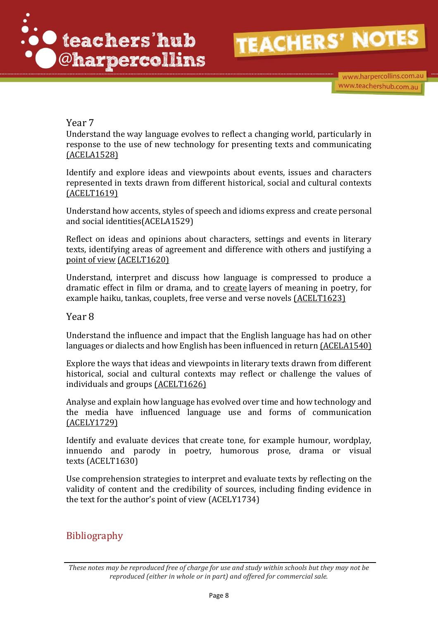

www.harpercollins.com.au www.teachershub.com.au

#### Year 7

Understand the way language evolves to reflect a changing world, particularly in response to the use of new technology for presenting texts and communicating [\(ACELA1528\)](http://www.australiancurriculum.edu.au/curriculum/contentdescription/ACELA1528)

Identify and explore ideas and viewpoints about events, issues and characters represented in texts drawn from different historical, social and cultural contexts [\(ACELT1619\)](http://www.australiancurriculum.edu.au/curriculum/contentdescription/ACELT1619)

Understand how accents, styles of speech and idioms express and [create](http://www.australiancurriculum.edu.au/glossary/popup?a=E&t=create) personal and social identitie[s\(ACELA1529\)](http://www.australiancurriculum.edu.au/curriculum/contentdescription/ACELA1529)

Reflect on ideas and opinions about characters, settings and events in literary texts, identifying areas of agreement and difference with others and justifying a [point of view](http://www.australiancurriculum.edu.au/glossary/popup?a=E&t=point+of+view) [\(ACELT1620\)](http://www.australiancurriculum.edu.au/curriculum/contentdescription/ACELT1620)

Understand, interpret and discuss how language is compressed to produce a dramatic effect in film or drama, and to [create](http://www.australiancurriculum.edu.au/glossary/popup?a=E&t=create) layers of meaning in poetry, for example haiku, tankas, couplets, free verse and verse novels [\(ACELT1623\)](http://www.australiancurriculum.edu.au/curriculum/contentdescription/ACELT1623)

#### Year 8

Understand the influence and impact that the English language has had on other languages or dialects and how English has been influenced in return [\(ACELA1540\)](http://www.australiancurriculum.edu.au/curriculum/contentdescription/ACELA1540)

Explore the ways that ideas and viewpoints in literary texts drawn from different historical, social and cultural contexts may reflect or challenge the values of individuals and groups [\(ACELT1626\)](http://www.australiancurriculum.edu.au/curriculum/contentdescription/ACELT1626)

Analyse and explain how language has evolved over time and how technology and the media have influenced language use and forms of communication [\(ACELY1729\)](http://www.australiancurriculum.edu.au/curriculum/contentdescription/ACELY1729)

Identify and evaluate devices that [create](http://www.australiancurriculum.edu.au/glossary/popup?a=E&t=create) tone, for example humour, wordplay, innuendo and parody in poetry, humorous prose, drama or visual texts [\(ACELT1630\)](http://www.australiancurriculum.edu.au/curriculum/contentdescription/ACELT1630)

Use comprehension strategies to interpret and evaluate texts by reflecting on the validity of content and the credibility of sources, including finding evidence in the [text](http://www.australiancurriculum.edu.au/glossary/popup?a=E&t=text) for the [author](http://www.australiancurriculum.edu.au/glossary/popup?a=E&t=author)'s [point of view](http://www.australiancurriculum.edu.au/glossary/popup?a=E&t=point+of+view) [\(ACELY1734\)](http://www.australiancurriculum.edu.au/curriculum/contentdescription/ACELY1734)

### Bibliography

*These notes may be reproduced free of charge for use and study within schools but they may not be reproduced (either in whole or in part) and offered for commercial sale.*